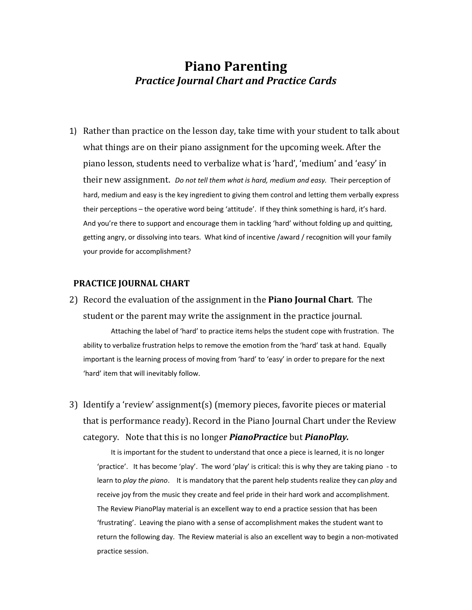## **Piano Parenting** *Practice Journal Chart and Practice Cards*

1) Rather than practice on the lesson day, take time with your student to talk about what things are on their piano assignment for the upcoming week. After the piano lesson, students need to verbalize what is 'hard', 'medium' and 'easy' in their new assignment. *Do not tell them what is hard, medium and easy.* Their perception of hard, medium and easy is the key ingredient to giving them control and letting them verbally express their perceptions – the operative word being 'attitude'. If they think something is hard, it's hard. And you're there to support and encourage them in tackling 'hard' without folding up and quitting, getting angry, or dissolving into tears. What kind of incentive /award / recognition will your family your provide for accomplishment?

## **PRACTICE JOURNAL CHART**

2) Record the evaluation of the assignment in the **Piano Journal Chart**. The student or the parent may write the assignment in the practice journal.

Attaching the label of 'hard' to practice items helps the student cope with frustration. The ability to verbalize frustration helps to remove the emotion from the 'hard' task at hand. Equally important is the learning process of moving from 'hard' to 'easy' in order to prepare for the next 'hard' item that will inevitably follow.

3) Identify a 'review' assignment(s) (memory pieces, favorite pieces or material that is performance ready). Record in the Piano Journal Chart under the Review category. Note that this is no longer *PianoPractice* but *PianoPlay.* 

It is important for the student to understand that once a piece is learned, it is no longer 'practice'. It has become 'play'. The word 'play' is critical: this is why they are taking piano ‐ to learn to *play the piano*. It is mandatory that the parent help students realize they can *play* and receive joy from the music they create and feel pride in their hard work and accomplishment. The Review PianoPlay material is an excellent way to end a practice session that has been 'frustrating'. Leaving the piano with a sense of accomplishment makes the student want to return the following day. The Review material is also an excellent way to begin a non‐motivated practice session.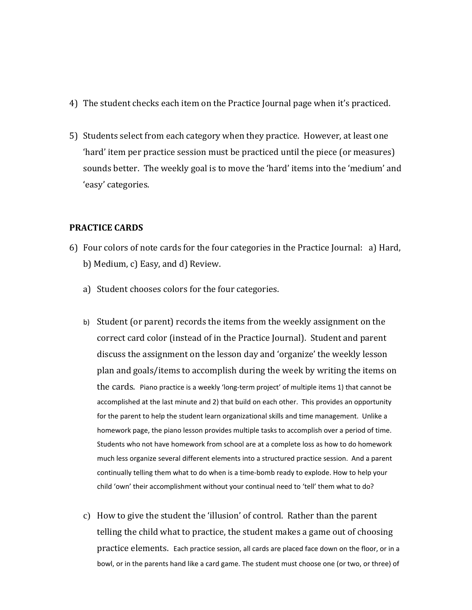- 4) The student checks each item on the Practice Journal page when it's practiced.
- 5) Students select from each category when they practice. However, at least one 'hard' item per practice session must be practiced until the piece (or measures) sounds better. The weekly goal is to move the 'hard' items into the 'medium' and 'easy' categories.

## **PRACTICE CARDS**

- 6) Four colors of note cards for the four categories in the Practice Journal: a) Hard, b) Medium, c) Easy, and d) Review.
	- a) Student chooses colors for the four categories.
	- b) Student (or parent) records the items from the weekly assignment on the correct card color (instead of in the Practice Journal). Student and parent discuss the assignment on the lesson day and 'organize' the weekly lesson plan and goals/items to accomplish during the week by writing the items on the cards. Piano practice is a weekly 'long-term project' of multiple items 1) that cannot be accomplished at the last minute and 2) that build on each other. This provides an opportunity for the parent to help the student learn organizational skills and time management. Unlike a homework page, the piano lesson provides multiple tasks to accomplish over a period of time. Students who not have homework from school are at a complete loss as how to do homework much less organize several different elements into a structured practice session. And a parent continually telling them what to do when is a time‐bomb ready to explode. How to help your child 'own' their accomplishment without your continual need to 'tell' them what to do?
	- c) How to give the student the 'illusion' of control. Rather than the parent telling the child what to practice, the student makes a game out of choosing practice elements. Each practice session, all cards are placed face down on the floor, or in a bowl, or in the parents hand like a card game. The student must choose one (or two, or three) of